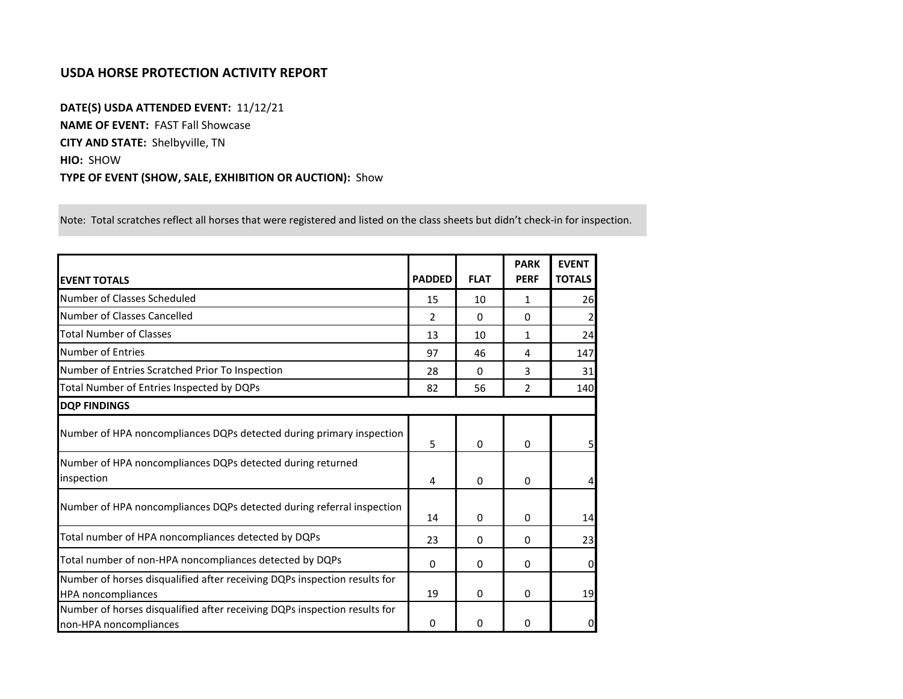## **USDA HORSE PROTECTION ACTIVITY REPORT**

**DATE(S) USDA ATTENDED EVENT:** 11/12/21 **NAME OF EVENT:** FAST Fall Showcase **CITY AND STATE:** Shelbyville, TN **HIO:** SHOW **TYPE OF EVENT (SHOW, SALE, EXHIBITION OR AUCTION):** Show

Note: Total scratches reflect all horses that were registered and listed on the class sheets but didn't check-in for inspection.

| <b>EVENT TOTALS</b>                                                                                    | <b>PADDED</b> | <b>FLAT</b> | <b>PARK</b><br><b>PERF</b> | <b>EVENT</b><br><b>TOTALS</b> |
|--------------------------------------------------------------------------------------------------------|---------------|-------------|----------------------------|-------------------------------|
| Number of Classes Scheduled                                                                            | 15            | 10          | 1                          | 26                            |
| Number of Classes Cancelled                                                                            | 2             | 0           | 0                          |                               |
| <b>Total Number of Classes</b>                                                                         | 13            | 10          | 1                          | 24                            |
| Number of Entries                                                                                      | 97            | 46          | 4                          | 147                           |
| Number of Entries Scratched Prior To Inspection                                                        | 28            | $\Omega$    | 3                          | 31                            |
| Total Number of Entries Inspected by DQPs                                                              | 82            | 56          | $\overline{2}$             | 140                           |
| <b>DOP FINDINGS</b>                                                                                    |               |             |                            |                               |
| Number of HPA noncompliances DQPs detected during primary inspection                                   | 5             | 0           | $\mathbf{0}$               | 5 <sub>l</sub>                |
| Number of HPA noncompliances DQPs detected during returned<br>inspection                               | 4             | 0           | $\Omega$                   | 4                             |
| Number of HPA noncompliances DQPs detected during referral inspection                                  | 14            | 0           | 0                          | 14                            |
| Total number of HPA noncompliances detected by DQPs                                                    | 23            | 0           | $\Omega$                   | 23                            |
| Total number of non-HPA noncompliances detected by DQPs                                                | $\Omega$      | 0           | $\Omega$                   | $\overline{0}$                |
| Number of horses disqualified after receiving DQPs inspection results for<br><b>HPA</b> noncompliances | 19            | 0           | $\Omega$                   | 19                            |
| Number of horses disqualified after receiving DQPs inspection results for<br>non-HPA noncompliances    | 0             | 0           | $\Omega$                   | $\mathbf{O}$                  |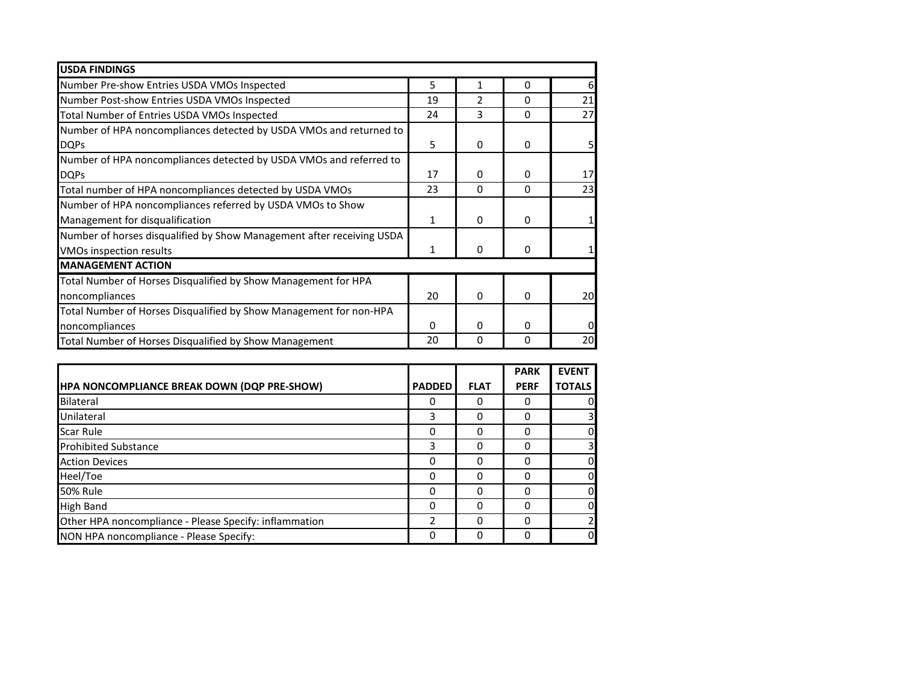| <b>USDA FINDINGS</b>                                                  |    |              |          |    |
|-----------------------------------------------------------------------|----|--------------|----------|----|
| Number Pre-show Entries USDA VMOs Inspected                           | 5  | 1            | $\Omega$ | 61 |
| Number Post-show Entries USDA VMOs Inspected                          | 19 | 2            | 0        | 21 |
| Total Number of Entries USDA VMOs Inspected                           | 24 | 3            | $\Omega$ | 27 |
| Number of HPA noncompliances detected by USDA VMOs and returned to    |    |              |          |    |
| <b>DQPs</b>                                                           | 5  | $\Omega$     | $\Omega$ |    |
| Number of HPA noncompliances detected by USDA VMOs and referred to    |    |              |          |    |
| <b>DQPs</b>                                                           | 17 | 0            | 0        | 17 |
| Total number of HPA noncompliances detected by USDA VMOs              | 23 | $\Omega$     | $\Omega$ | 23 |
| Number of HPA noncompliances referred by USDA VMOs to Show            |    |              |          |    |
| Management for disqualification                                       | 1  | 0            | 0        |    |
| Number of horses disqualified by Show Management after receiving USDA |    |              |          |    |
| VMOs inspection results                                               | 1  | $\mathbf{0}$ | 0        |    |
| <b>MANAGEMENT ACTION</b>                                              |    |              |          |    |
| Total Number of Horses Disqualified by Show Management for HPA        |    |              |          |    |
| noncompliances                                                        | 20 | $\Omega$     | $\Omega$ | 20 |
| Total Number of Horses Disqualified by Show Management for non-HPA    |    |              |          |    |
| noncompliances                                                        | 0  | 0            | 0        |    |
| Total Number of Horses Disqualified by Show Management                | 20 | 0            | 0        | 20 |

|                                                        |               |             | <b>PARK</b> | <b>EVENT</b>  |
|--------------------------------------------------------|---------------|-------------|-------------|---------------|
| HPA NONCOMPLIANCE BREAK DOWN (DQP PRE-SHOW)            | <b>PADDED</b> | <b>FLAT</b> | <b>PERF</b> | <b>TOTALS</b> |
| Bilateral                                              | 0             | 0           | 0           | 0             |
| Unilateral                                             | 3             | 0           | 0           |               |
| Scar Rule                                              | 0             | $\Omega$    | 0           | 0             |
| <b>Prohibited Substance</b>                            | 3             | 0           | ი           |               |
| <b>Action Devices</b>                                  | 0             | $\Omega$    | ი           | $\Omega$      |
| Heel/Toe                                               | 0             | 0           |             | $\Omega$      |
| <b>50% Rule</b>                                        | 0             | $\Omega$    | ი           | $\Omega$      |
| <b>High Band</b>                                       | 0             | 0           |             | $\Omega$      |
| Other HPA noncompliance - Please Specify: inflammation | 2             | $\Omega$    |             |               |
| NON HPA noncompliance - Please Specify:                | 0             | 0           |             | <sub>0</sub>  |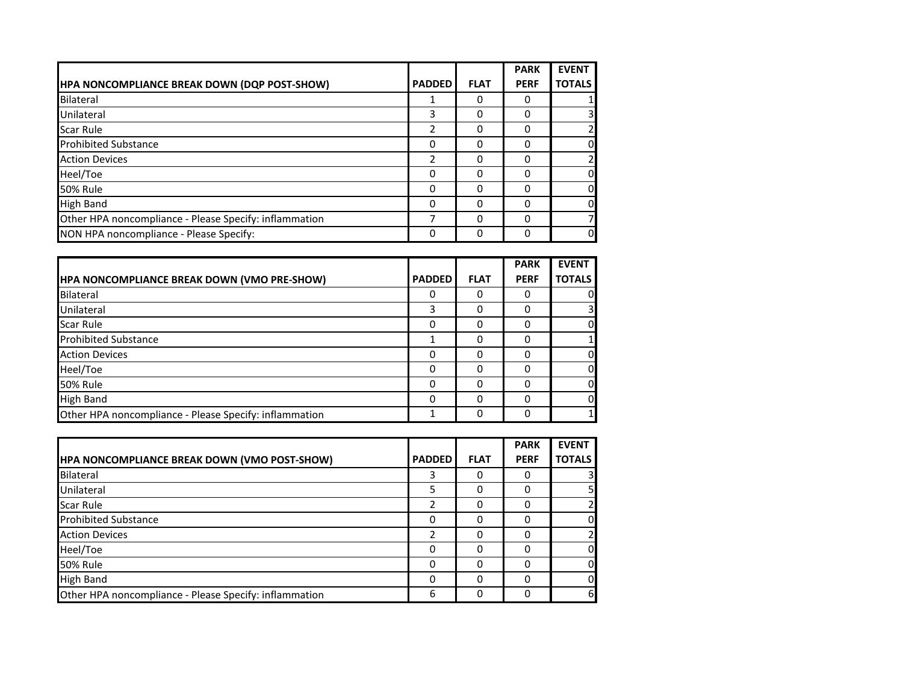|                                                        |               |             | <b>PARK</b> | <b>EVENT</b>            |
|--------------------------------------------------------|---------------|-------------|-------------|-------------------------|
| HPA NONCOMPLIANCE BREAK DOWN (DQP POST-SHOW)           | <b>PADDED</b> | <b>FLAT</b> | <b>PERF</b> | <b>TOTALS</b>           |
| Bilateral                                              |               | 0           |             |                         |
| Unilateral                                             | 3             | 0           |             | $\overline{\mathsf{3}}$ |
| <b>Scar Rule</b>                                       | 2             | 0           | 0           | 2                       |
| <b>Prohibited Substance</b>                            | ი             | 0           |             | $\overline{0}$          |
| <b>Action Devices</b>                                  | 2             | 0           |             | 2                       |
| Heel/Toe                                               | 0             | 0           |             | <sub>0</sub>            |
| <b>50% Rule</b>                                        | 0             | 0           | 0           | <sub>0</sub>            |
| <b>High Band</b>                                       | 0             | 0           |             | <sub>0</sub>            |
| Other HPA noncompliance - Please Specify: inflammation | ℸ             | 0           | 0           | 7                       |
| NON HPA noncompliance - Please Specify:                | 0             | 0           |             | <sub>0</sub>            |

|                                                        |               |             | <b>PARK</b> | <b>EVENT</b>  |
|--------------------------------------------------------|---------------|-------------|-------------|---------------|
| HPA NONCOMPLIANCE BREAK DOWN (VMO PRE-SHOW)            | <b>PADDED</b> | <b>FLAT</b> | <b>PERF</b> | <b>TOTALS</b> |
| Bilateral                                              |               | 0           |             |               |
| Unilateral                                             | 3             | 0           | 0           |               |
| <b>Scar Rule</b>                                       | 0             | 0           |             | 0l            |
| <b>Prohibited Substance</b>                            |               | 0           |             |               |
| <b>Action Devices</b>                                  | 0             | 0           | 0           | 0             |
| Heel/Toe                                               | 0             | 0           |             | 0             |
| <b>50% Rule</b>                                        | 0             | 0           |             | $\Omega$      |
| <b>High Band</b>                                       | 0             | 0           |             | 0l            |
| Other HPA noncompliance - Please Specify: inflammation |               | 0           |             |               |

|                                                        |               |             | <b>PARK</b> | <b>EVENT</b>  |
|--------------------------------------------------------|---------------|-------------|-------------|---------------|
| <b>HPA NONCOMPLIANCE BREAK DOWN (VMO POST-SHOW)</b>    | <b>PADDED</b> | <b>FLAT</b> | <b>PERF</b> | <b>TOTALS</b> |
| Bilateral                                              | 3             | Ω           |             | 3             |
| Unilateral                                             | 5             | Ω           |             | 5             |
| <b>Scar Rule</b>                                       | ำ             | 0           |             |               |
| <b>Prohibited Substance</b>                            | 0             | 0           |             | <sub>0</sub>  |
| <b>Action Devices</b>                                  | 2             | O           |             | 2             |
| Heel/Toe                                               | ი             | 0           |             | 0             |
| <b>50% Rule</b>                                        | 0             | 0           |             | <sub>0</sub>  |
| <b>High Band</b>                                       | ი             | 0           |             | 0             |
| Other HPA noncompliance - Please Specify: inflammation | 6             | 0           |             | 6             |